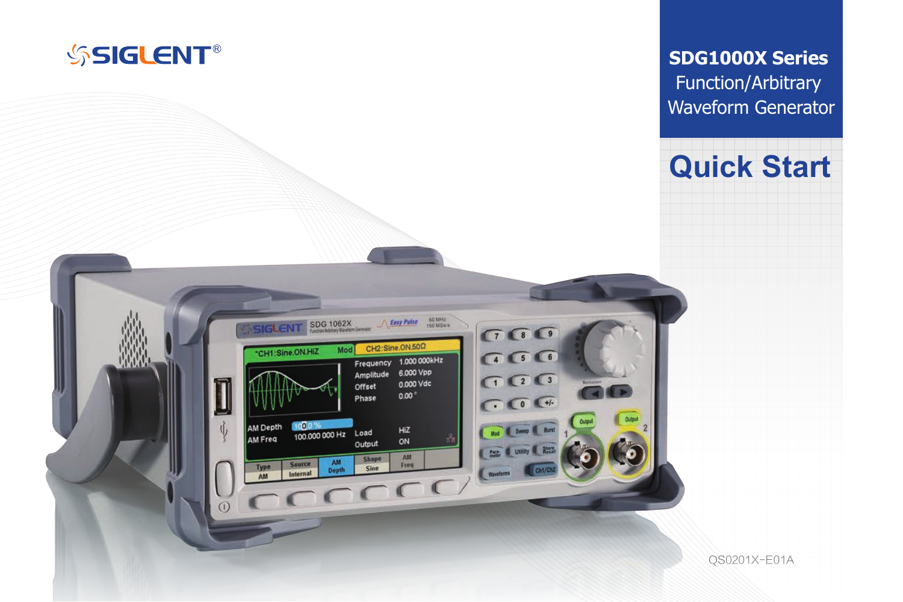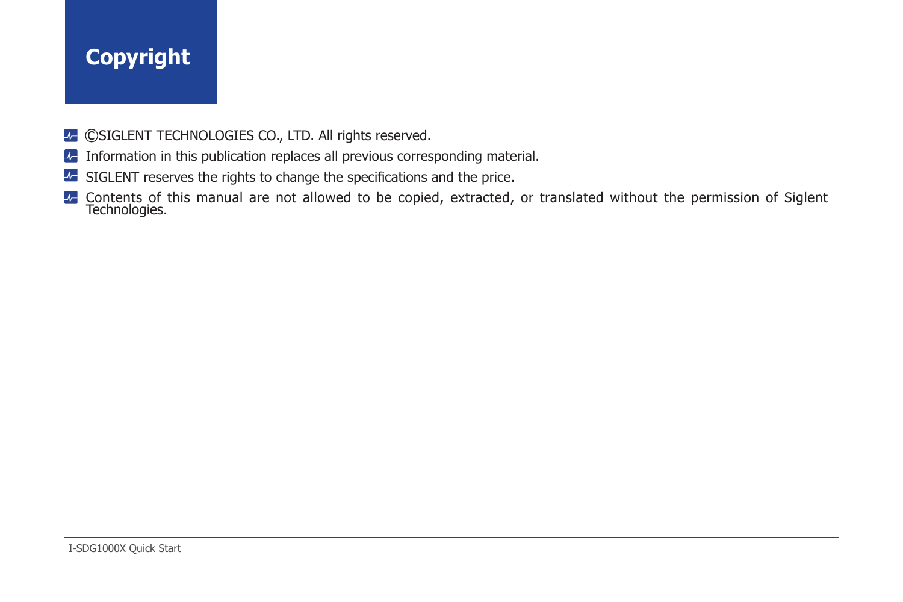# **Copyright**

- ©SIGLENT TECHNOLOGIES CO., LTD. All rights reserved.
- **Information in this publication replaces all previous corresponding material.**
- **SIGLENT** reserves the rights to change the specifications and the price.
- Contents of this manual are not allowed to be copied, extracted, or translated without the permission of Siglent Technologies.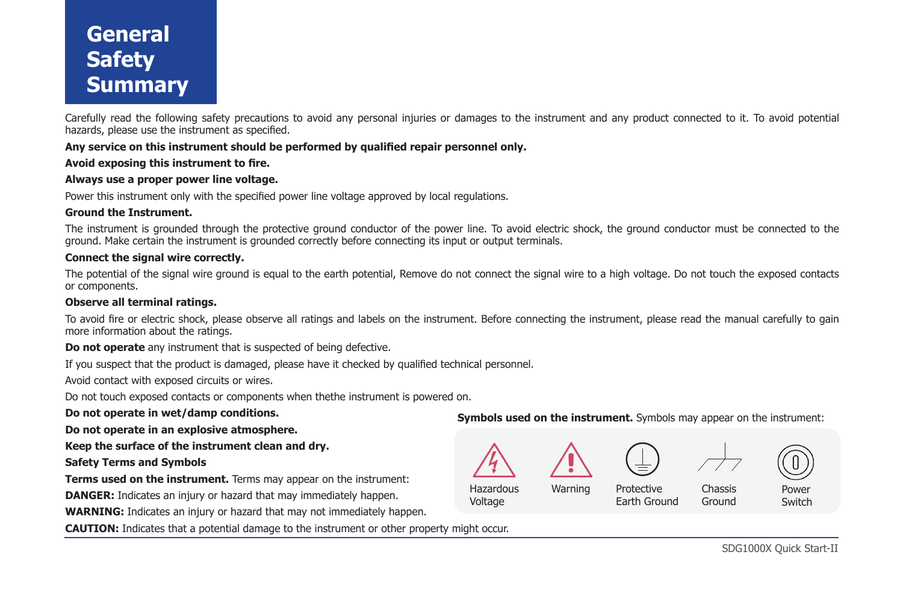# **General Safety Summary**

Carefully read the following safety precautions to avoid any personal injuries or damages to the instrument and any product connected to it. To avoid potential hazards, please use the instrument as specified.

### **Any service on this instrument should be performed by qualified repair personnel only.**

### **Avoid exposing this instrument to fire.**

### **Always use a proper power line voltage.**

Power this instrument only with the specified power line voltage approved by local regulations.

### **Ground the Instrument.**

The instrument is grounded through the protective ground conductor of the power line. To avoid electric shock, the ground conductor must be connected to the ground. Make certain the instrument is grounded correctly before connecting its input or output terminals.

### **Connect the signal wire correctly.**

The potential of the signal wire ground is equal to the earth potential, Remove do not connect the signal wire to a high voltage. Do not touch the exposed contacts or components.

#### **Observe all terminal ratings.**

To avoid fire or electric shock, please observe all ratings and labels on the instrument. Before connecting the instrument, please read the manual carefully to gain more information about the ratings.

**Do not operate** any instrument that is suspected of being defective.

If you suspect that the product is damaged, please have it checked by qualified technical personnel.

Avoid contact with exposed circuits or wires.

Do not touch exposed contacts or components when thethe instrument is powered on.

**Do not operate in wet/damp conditions.**

**Do not operate in an explosive atmosphere.**

**Keep the surface of the instrument clean and dry.**

### **Safety Terms and Symbols**

**Terms used on the instrument.** Terms may appear on the instrument:

**DANGER:** Indicates an injury or hazard that may immediately happen.

**WARNING:** Indicates an injury or hazard that may not immediately happen.

**CAUTION:** Indicates that a potential damage to the instrument or other property might occur.

**Symbols used on the instrument.** Symbols may appear on the instrument:

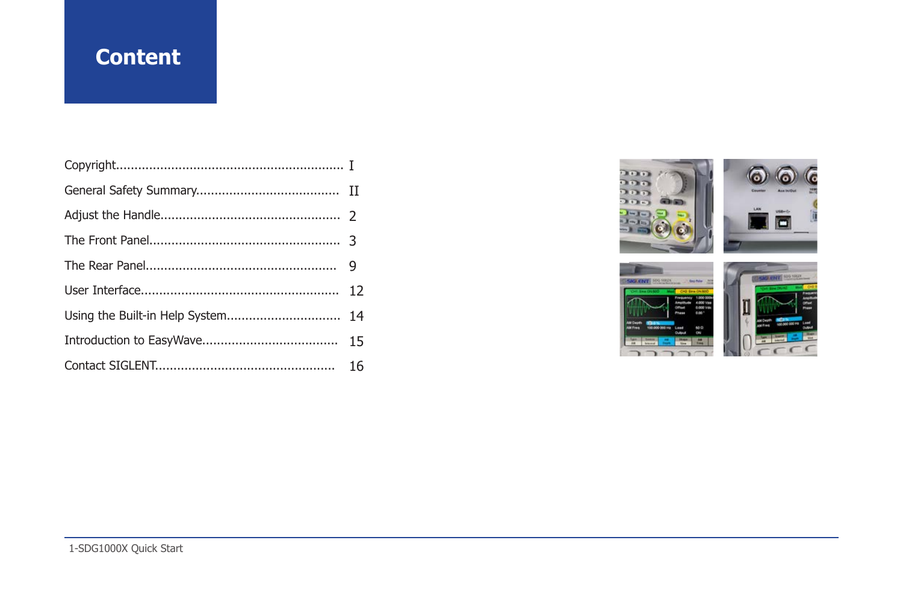# **Content**

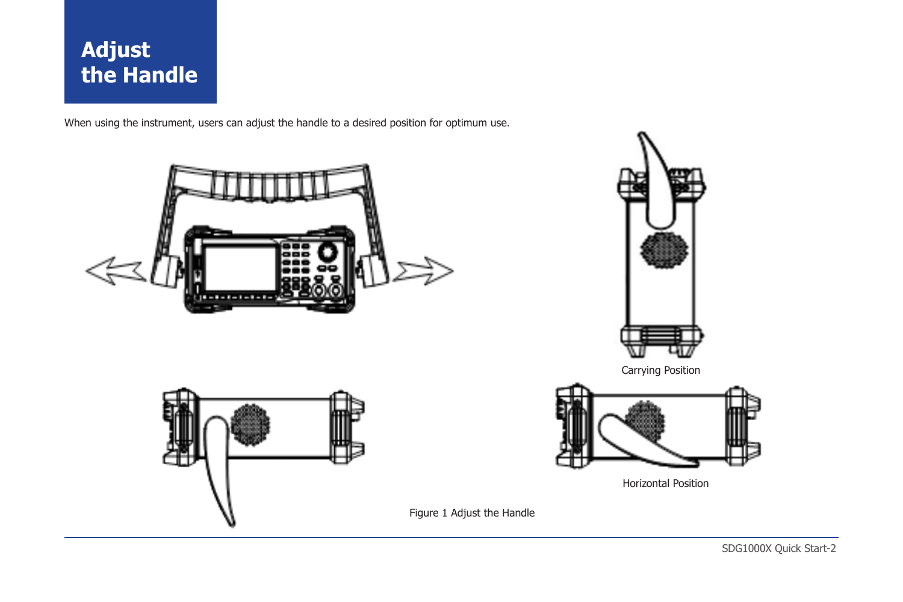# **Adjust the Handle**

When using the instrument, users can adjust the handle to a desired position for optimum use.





Figure 1 Adjust the Handle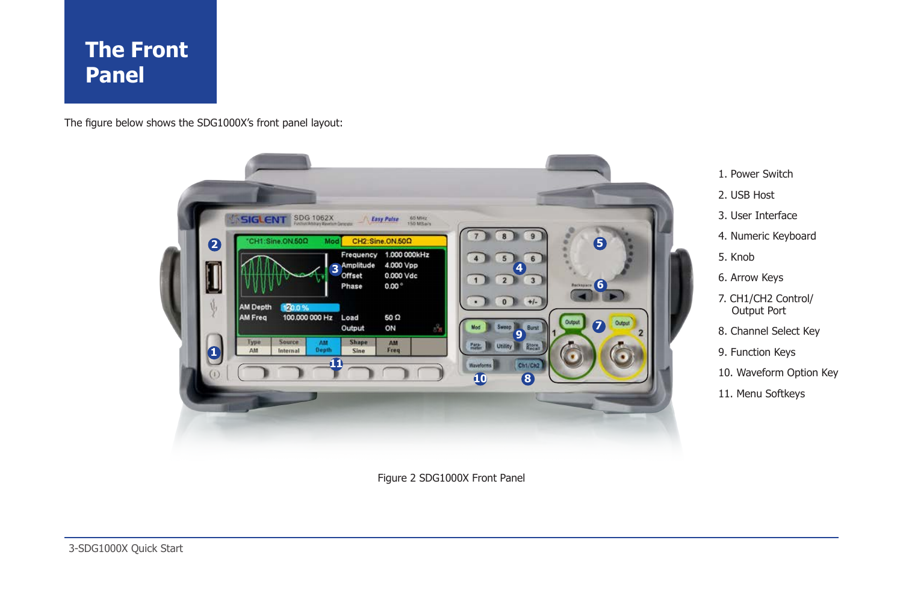# **The Front Panel**

The figure below shows the SDG1000X's front panel layout:



Figure 2 SDG1000X Front Panel

4. Numeric Keyboard

- 5. Knob
- 6. Arrow Keys

1. Power Switch 2. USB Host 3. User Interface

- 7. CH1/CH2 Control/ Output Port
- 8. Channel Select Key
- 9. Function Keys
- 10. Waveform Option Key
- 11. Menu Softkeys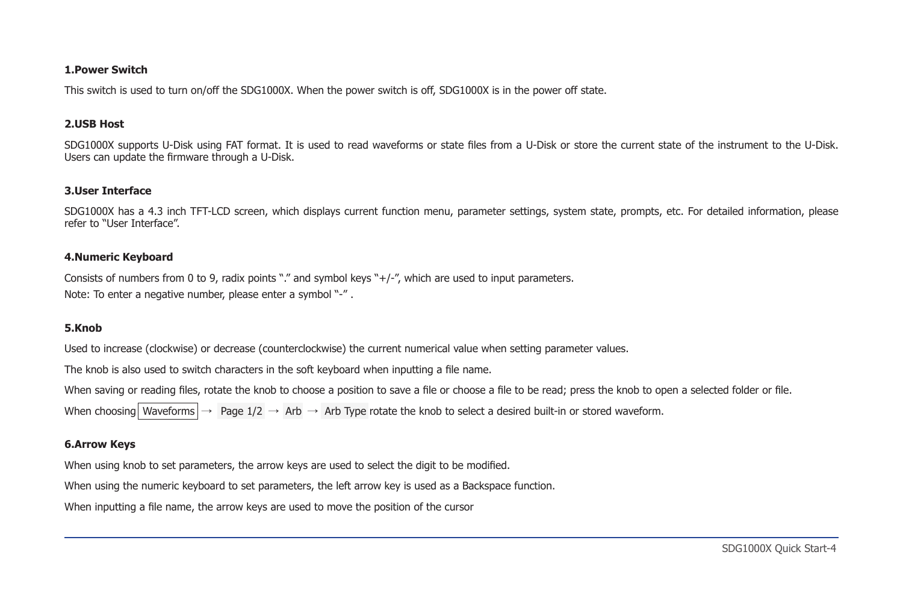### **1.Power Switch**

This switch is used to turn on/off the SDG1000X. When the power switch is off, SDG1000X is in the power off state.

#### **2.USB Host**

SDG1000X supports U-Disk using FAT format. It is used to read waveforms or state files from a U-Disk or store the current state of the instrument to the U-Disk. Users can update the firmware through a U-Disk.

### **3.User Interface**

SDG1000X has a 4.3 inch TFT-LCD screen, which displays current function menu, parameter settings, system state, prompts, etc. For detailed information, please refer to "User Interface".

#### **4.Numeric Keyboard**

Consists of numbers from 0 to 9, radix points "." and symbol keys "+/-", which are used to input parameters. Note: To enter a negative number, please enter a symbol "-" .

#### **5.Knob**

Used to increase (clockwise) or decrease (counterclockwise) the current numerical value when setting parameter values.

The knob is also used to switch characters in the soft keyboard when inputting a file name.

When saving or reading files, rotate the knob to choose a position to save a file or choose a file to be read; press the knob to open a selected folder or file.

When choosing Waveforms  $\rightarrow$  Page 1/2  $\rightarrow$  Arb  $\rightarrow$  Arb Type rotate the knob to select a desired built-in or stored waveform.

### **6.Arrow Keys**

When using knob to set parameters, the arrow keys are used to select the digit to be modified.

When using the numeric keyboard to set parameters, the left arrow key is used as a Backspace function.

When inputting a file name, the arrow keys are used to move the position of the cursor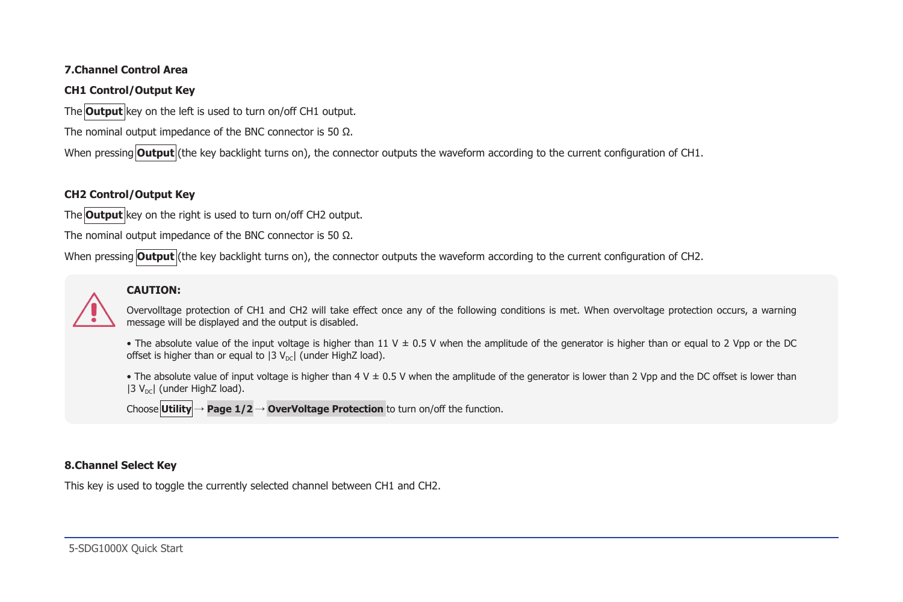## **7.Channel Control Area**

## **CH1 Control/Output Key**

The **Output** key on the left is used to turn on/off CH1 output.

The nominal output impedance of the BNC connector is 50 Ω.

When pressing **Output** (the key backlight turns on), the connector outputs the waveform according to the current configuration of CH1.

## **CH2 Control/Output Key**

The **Output** key on the right is used to turn on/off CH2 output.

The nominal output impedance of the BNC connector is 50 Ω.

When pressing **Output** (the key backlight turns on), the connector outputs the waveform according to the current configuration of CH2.

## **CAUTION:**

Overvolltage protection of CH1 and CH2 will take effect once any of the following conditions is met. When overvoltage protection occurs, a warning message will be displayed and the output is disabled.

- The absolute value of the input voltage is higher than 11 V  $\pm$  0.5 V when the amplitude of the generator is higher than or equal to 2 Vpp or the DC offset is higher than or equal to  $|3 V_{\text{ref}}|$  (under HighZ load).
- The absolute value of input voltage is higher than 4 V ± 0.5 V when the amplitude of the generator is lower than 2 Vpp and the DC offset is lower than  $|3 V_{\text{ref}}|$  (under HighZ load).

Choose **Utility** → **Page 1/2** → **OverVoltage Protection** to turn on/off the function.

## **8.Channel Select Key**

This key is used to toggle the currently selected channel between CH1 and CH2.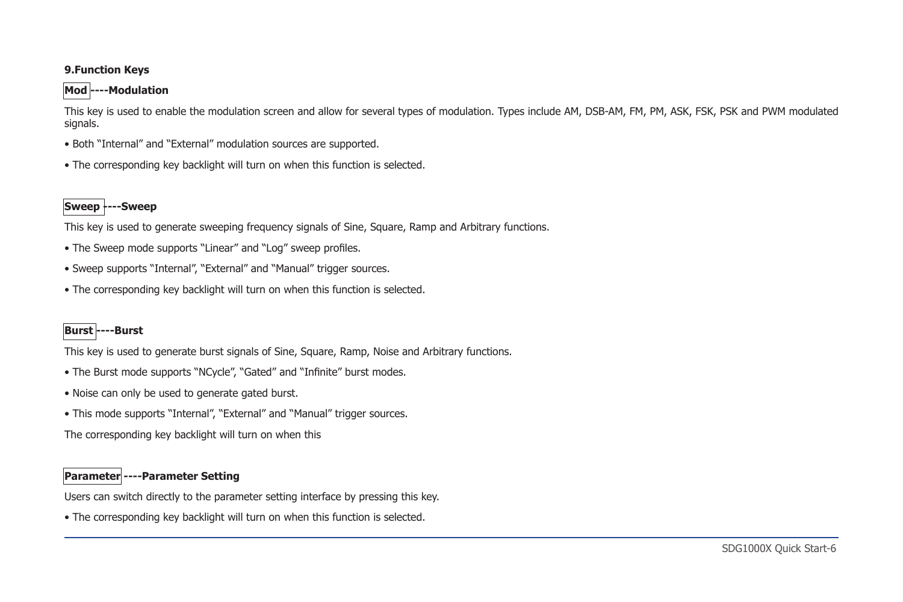## **9.Function Keys**

## **Mod ----Modulation**

This key is used to enable the modulation screen and allow for several types of modulation. Types include AM, DSB-AM, FM, PM, ASK, FSK, PSK and PWM modulated signals.

- Both "Internal" and "External" modulation sources are supported.
- The corresponding key backlight will turn on when this function is selected.

# **Sweep ----Sweep**

This key is used to generate sweeping frequency signals of Sine, Square, Ramp and Arbitrary functions.

- The Sweep mode supports "Linear" and "Log" sweep profiles.
- Sweep supports "Internal", "External" and "Manual" trigger sources.
- The corresponding key backlight will turn on when this function is selected.

# **Burst ----Burst**

This key is used to generate burst signals of Sine, Square, Ramp, Noise and Arbitrary functions.

- The Burst mode supports "NCycle", "Gated" and "Infinite" burst modes.
- Noise can only be used to generate gated burst.
- This mode supports "Internal", "External" and "Manual" trigger sources.

The corresponding key backlight will turn on when this

# **Parameter ----Parameter Setting**

Users can switch directly to the parameter setting interface by pressing this key.

• The corresponding key backlight will turn on when this function is selected.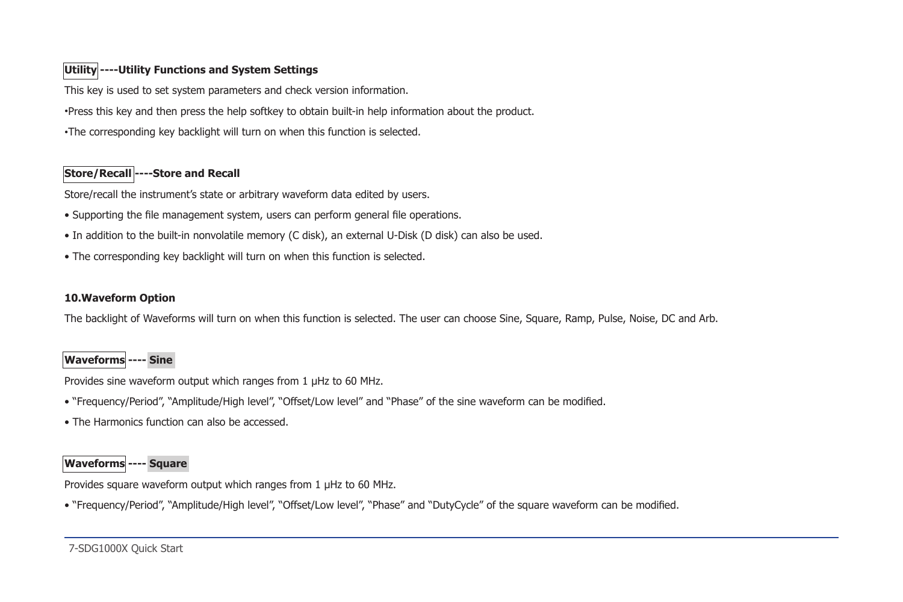# **Utility ----Utility Functions and System Settings**

This key is used to set system parameters and check version information.

•Press this key and then press the help softkey to obtain built-in help information about the product.

•The corresponding key backlight will turn on when this function is selected.

# **Store/Recall ----Store and Recall**

Store/recall the instrument's state or arbitrary waveform data edited by users.

- Supporting the file management system, users can perform general file operations.
- In addition to the built-in nonvolatile memory (C disk), an external U-Disk (D disk) can also be used.
- The corresponding key backlight will turn on when this function is selected.

## **10.Waveform Option**

The backlight of Waveforms will turn on when this function is selected. The user can choose Sine, Square, Ramp, Pulse, Noise, DC and Arb.

# **Waveforms ---- Sine**

Provides sine waveform output which ranges from 1 μHz to 60 MHz.

- "Frequency/Period", "Amplitude/High level", "Offset/Low level" and "Phase" of the sine waveform can be modified.
- The Harmonics function can also be accessed.

# **Waveforms ---- Square**

Provides square waveform output which ranges from 1 μHz to 60 MHz.

• "Frequency/Period", "Amplitude/High level", "Offset/Low level", "Phase" and "DutyCycle" of the square waveform can be modified.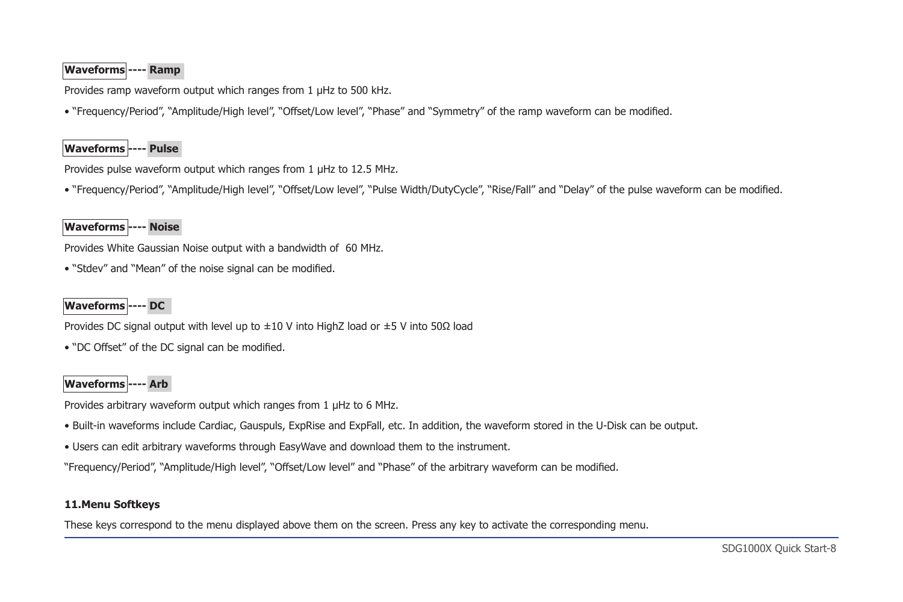# **Waveforms ---- Ramp**

Provides ramp waveform output which ranges from 1 μHz to 500 kHz.

• "Frequency/Period", "Amplitude/High level", "Offset/Low level", "Phase" and "Symmetry" of the ramp waveform can be modified.

# **Waveforms ---- Pulse**

Provides pulse waveform output which ranges from 1  $\mu$ Hz to 12.5 MHz.

• "Frequency/Period", "Amplitude/High level", "Offset/Low level", "Pulse Width/DutyCycle", "Rise/Fall" and "Delay" of the pulse waveform can be modified.

## **Waveforms ---- Noise**

Provides White Gaussian Noise output with a bandwidth of 60 MHz.

• "Stdev" and "Mean" of the noise signal can be modified.

# **Waveforms ---- DC**

Provides DC signal output with level up to  $\pm 10$  V into HighZ load or  $\pm 5$  V into 50Ω load

• "DC Offset" of the DC signal can be modified.

# **Waveforms ---- Arb**

Provides arbitrary waveform output which ranges from 1 μHz to 6 MHz.

- Built-in waveforms include Cardiac, Gauspuls, ExpRise and ExpFall, etc. In addition, the waveform stored in the U-Disk can be output.
- Users can edit arbitrary waveforms through EasyWave and download them to the instrument.

"Frequency/Period", "Amplitude/High level", "Offset/Low level" and "Phase" of the arbitrary waveform can be modified.

## **11.Menu Softkeys**

These keys correspond to the menu displayed above them on the screen. Press any key to activate the corresponding menu.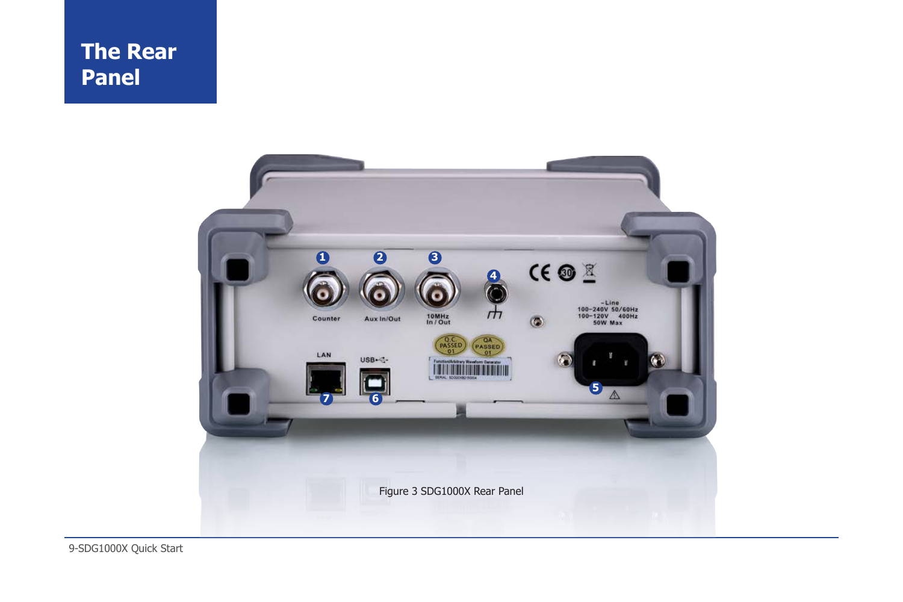

9-SDG1000X Quick Start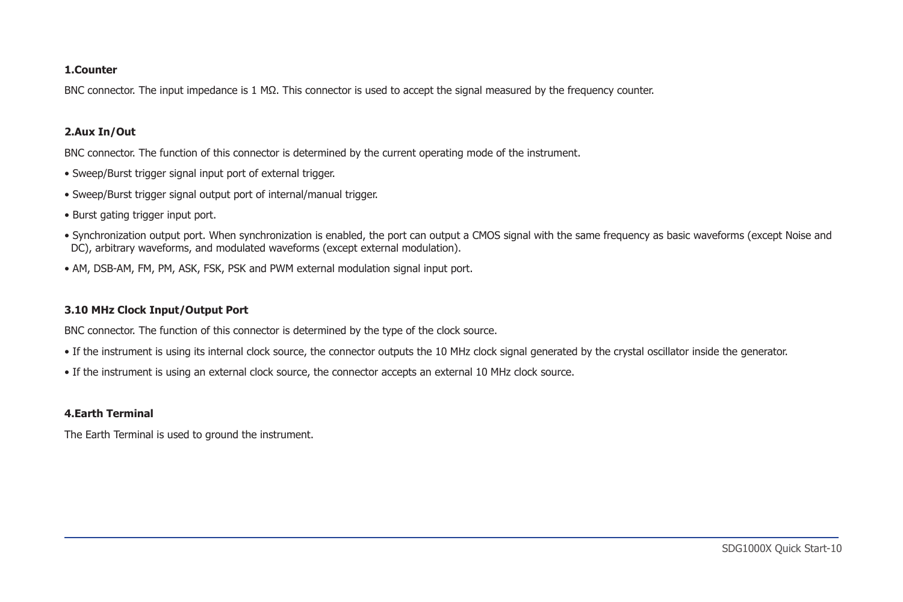#### **1.Counter**

BNC connector. The input impedance is 1 MΩ. This connector is used to accept the signal measured by the frequency counter.

### **2.Aux In/Out**

BNC connector. The function of this connector is determined by the current operating mode of the instrument.

- Sweep/Burst trigger signal input port of external trigger.
- Sweep/Burst trigger signal output port of internal/manual trigger.
- Burst gating trigger input port.
- Synchronization output port. When synchronization is enabled, the port can output a CMOS signal with the same frequency as basic waveforms (except Noise and DC), arbitrary waveforms, and modulated waveforms (except external modulation).
- AM, DSB-AM, FM, PM, ASK, FSK, PSK and PWM external modulation signal input port.

## **3.10 MHz Clock Input/Output Port**

BNC connector. The function of this connector is determined by the type of the clock source.

- If the instrument is using its internal clock source, the connector outputs the 10 MHz clock signal generated by the crystal oscillator inside the generator.
- If the instrument is using an external clock source, the connector accepts an external 10 MHz clock source.

## **4.Earth Terminal**

The Earth Terminal is used to ground the instrument.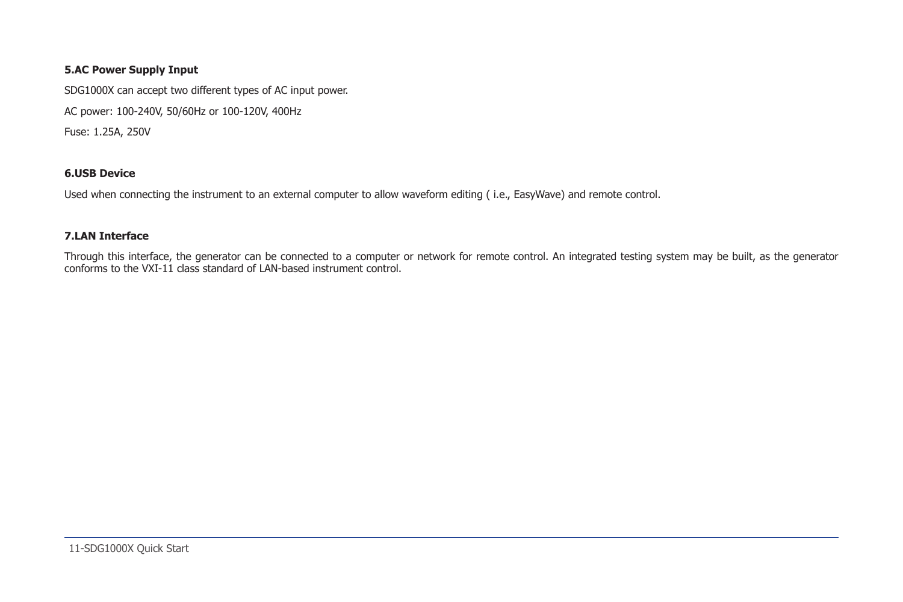## **5.AC Power Supply Input**

SDG1000X can accept two different types of AC input power.

AC power: 100-240V, 50/60Hz or 100-120V, 400Hz

Fuse: 1.25A, 250V

## **6.USB Device**

Used when connecting the instrument to an external computer to allow waveform editing ( i.e., EasyWave) and remote control.

## **7.LAN Interface**

Through this interface, the generator can be connected to a computer or network for remote control. An integrated testing system may be built, as the generator conforms to the VXI-11 class standard of LAN-based instrument control.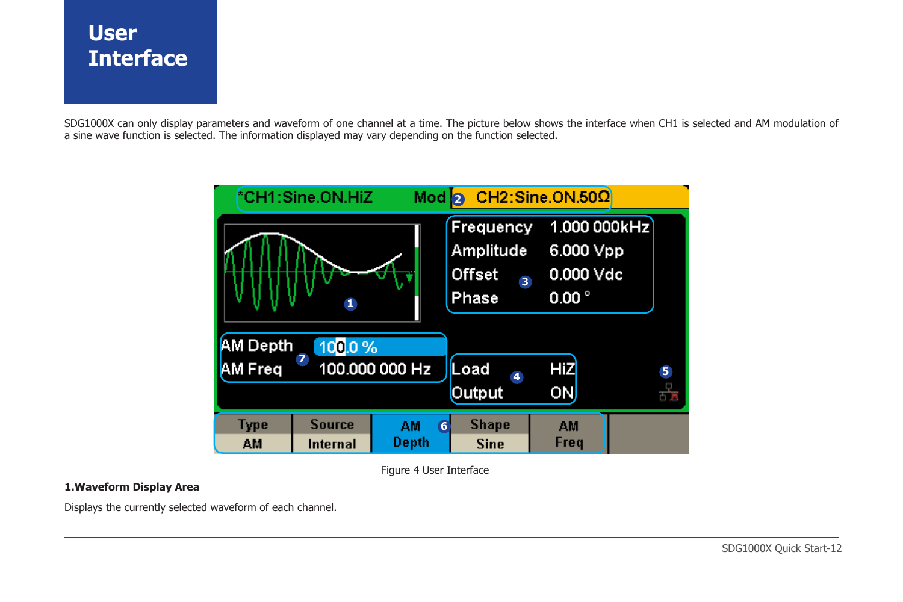# **User Interface**

SDG1000X can only display parameters and waveform of one channel at a time. The picture below shows the interface when CH1 is selected and AM modulation of a sine wave function is selected. The information displayed may vary depending on the function selected.



Figure 4 User Interface

## **1.Waveform Display Area**

Displays the currently selected waveform of each channel.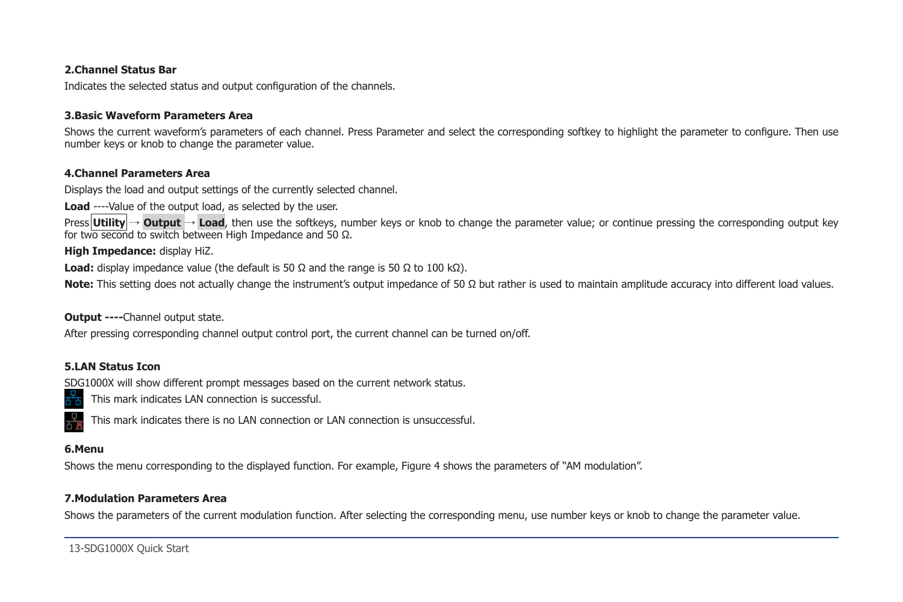## **2.Channel Status Bar**

Indicates the selected status and output configuration of the channels.

## **3.Basic Waveform Parameters Area**

Shows the current waveform's parameters of each channel. Press Parameter and select the corresponding softkey to highlight the parameter to configure. Then use number keys or knob to change the parameter value.

## **4.Channel Parameters Area**

Displays the load and output settings of the currently selected channel.

**Load** ----Value of the output load, as selected by the user.

Press **Utility** → **Output** → **Load**, then use the softkeys, number keys or knob to change the parameter value; or continue pressing the corresponding output key for two second to switch between High Impedance and 50 Ω.

**High Impedance:** display HiZ.

**Load:** display impedance value (the default is 50  $\Omega$  and the range is 50  $\Omega$  to 100 k $\Omega$ ).

**Note:** This setting does not actually change the instrument's output impedance of 50 Ω but rather is used to maintain amplitude accuracy into different load values.

### **Output ----**Channel output state.

After pressing corresponding channel output control port, the current channel can be turned on/off.

## **5.LAN Status Icon**

SDG1000X will show different prompt messages based on the current network status.

This mark indicates LAN connection is successful.



This mark indicates there is no LAN connection or LAN connection is unsuccessful.

### **6.Menu**

Shows the menu corresponding to the displayed function. For example, Figure 4 shows the parameters of "AM modulation".

## **7.Modulation Parameters Area**

Shows the parameters of the current modulation function. After selecting the corresponding menu, use number keys or knob to change the parameter value.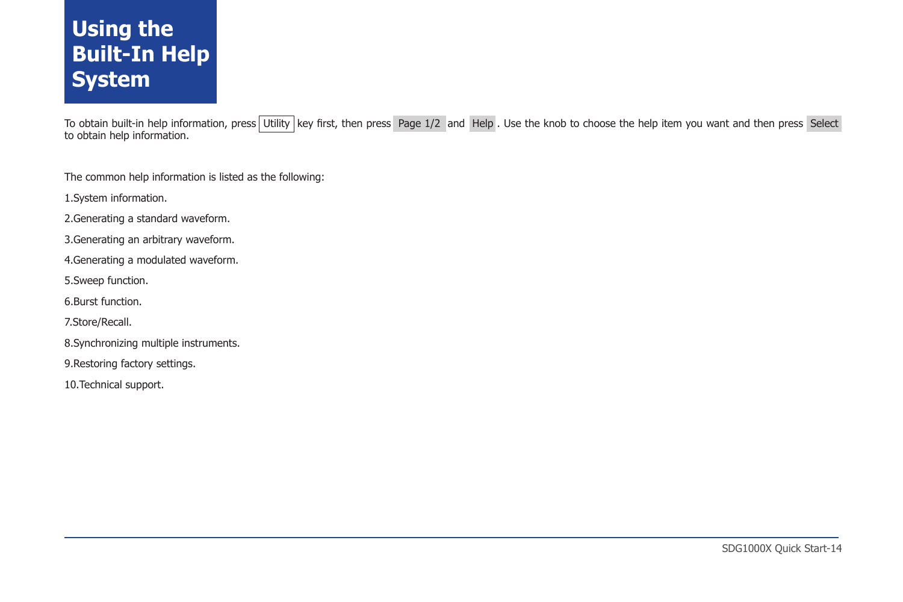# **Using the Built-In Help System**

To obtain built-in help information, press Utility key first, then press Page 1/2 and Help . Use the knob to choose the help item you want and then press Select to obtain help information.

The common help information is listed as the following:

1.System information.

2.Generating a standard waveform.

3.Generating an arbitrary waveform.

4.Generating a modulated waveform.

5.Sweep function.

6.Burst function.

7.Store/Recall.

8.Synchronizing multiple instruments.

9.Restoring factory settings.

10.Technical support.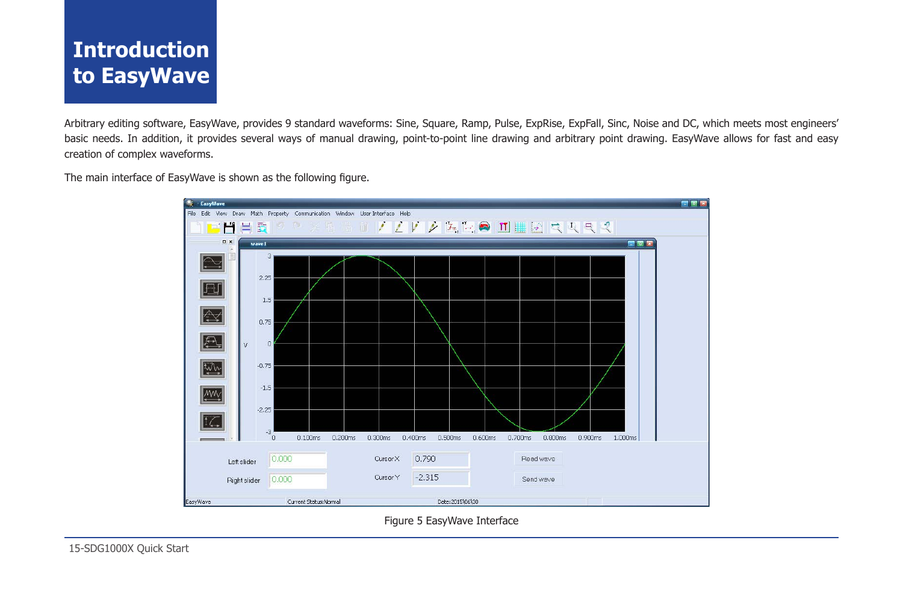# **Introduction to EasyWave**

Arbitrary editing software, EasyWave, provides 9 standard waveforms: Sine, Square, Ramp, Pulse, ExpRise, ExpFall, Sinc, Noise and DC, which meets most engineers' basic needs. In addition, it provides several ways of manual drawing, point-to-point line drawing and arbitrary point drawing. EasyWave allows for fast and easy creation of complex waveforms.

The main interface of EasyWave is shown as the following figure.



Figure 5 EasyWave Interface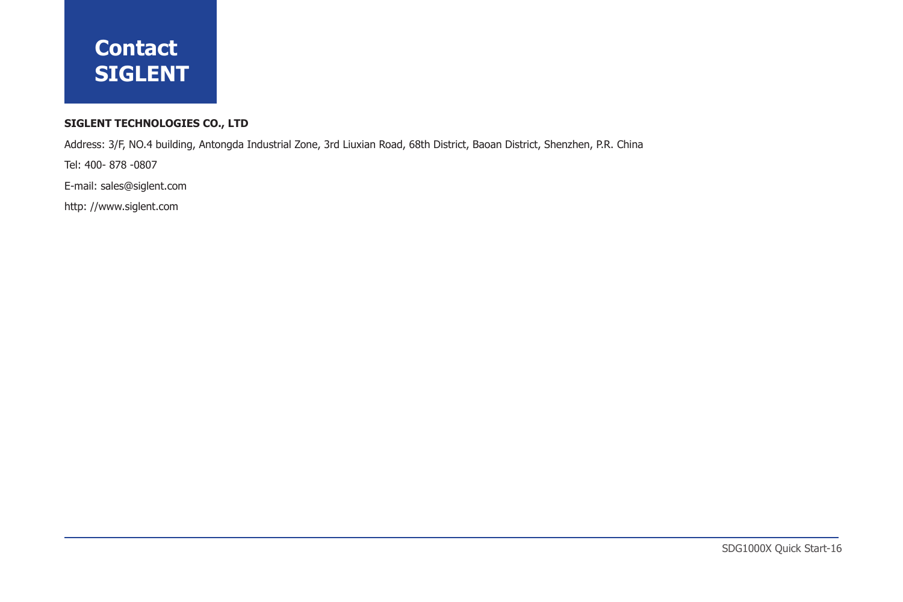# **Contact SIGLENT**

## **SIGLENT TECHNOLOGIES CO., LTD**

Address: 3/F, NO.4 building, Antongda Industrial Zone, 3rd Liuxian Road, 68th District, Baoan District, Shenzhen, P.R. China

Tel: 400- 878 -0807

E-mail: sales@siglent.com

http: //www.siglent.com